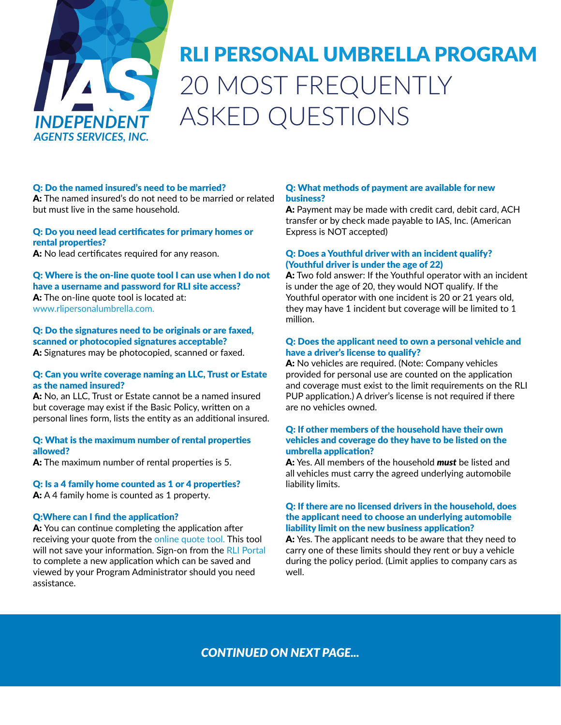

# RLI PERSONAL UMBRELLA PROGRAM 20 MOST FREQUENTLY ASKED QUESTIONS

## Q: Do the named insured's need to be married?

A: The named insured's do not need to be married or related but must live in the same household.

## Q: Do you need lead certificates for primary homes or rental properties?

A: No lead certificates required for any reason.

Q: Where is the on-line quote tool I can use when I do not have a username and password for RLI site access? A: The on-line quote tool is located at: [www.rlipersonalumbrella.com.](https://www.rlipersonalumbrella.com/)

Q: Do the signatures need to be originals or are faxed, scanned or photocopied signatures acceptable?

A: Signatures may be photocopied, scanned or faxed.

## Q: Can you write coverage naming an LLC, Trust or Estate as the named insured?

A: No, an LLC, Trust or Estate cannot be a named insured but coverage may exist if the Basic Policy, written on a personal lines form, lists the entity as an additional insured.

#### Q: What is the maximum number of rental properties allowed?

A: The maximum number of rental properties is 5.

## Q: Is a 4 family home counted as 1 or 4 properties?

A: A 4 family home is counted as 1 property.

## Q:Where can I find the application?

A: You can continue completing the application after receiving your quote from the [online quote tool](https://myportal.rlicorp.com/content/rliPortal/en/pup-guest-quote.html). This tool will not save your information. Sign-on from the [RLI Portal](https://myportal.rlicorp.com/content/rliPortal/login.html?spName=saml-rli-isobar-publish&samlContext=us1_7886571_c75dfab2-0b01-43c8-a879-97a86bb7d99a) to complete a new application which can be saved and viewed by your Program Administrator should you need assistance.

### Q: What methods of payment are available for new business?

A: Payment may be made with credit card, debit card, ACH transfer or by check made payable to IAS, Inc. (American Express is NOT accepted)

## Q: Does a Youthful driver with an incident qualify? (Youthful driver is under the age of 22)

A: Two fold answer: If the Youthful operator with an incident is under the age of 20, they would NOT qualify. If the Youthful operator with one incident is 20 or 21 years old, they may have 1 incident but coverage will be limited to 1 million.

## Q: Does the applicant need to own a personal vehicle and have a driver's license to qualify?

A: No vehicles are required. (Note: Company vehicles provided for personal use are counted on the application and coverage must exist to the limit requirements on the RLI PUP application.) A driver's license is not required if there are no vehicles owned.

## Q: If other members of the household have their own vehicles and coverage do they have to be listed on the umbrella application?

A: Yes. All members of the household *must* be listed and all vehicles must carry the agreed underlying automobile liability limits.

## Q: If there are no licensed drivers in the household, does the applicant need to choose an underlying automobile liability limit on the new business application?

A: Yes. The applicant needs to be aware that they need to carry one of these limits should they rent or buy a vehicle during the policy period. (Limit applies to company cars as well.

## *CONTINUED ON NEXT PAGE...*